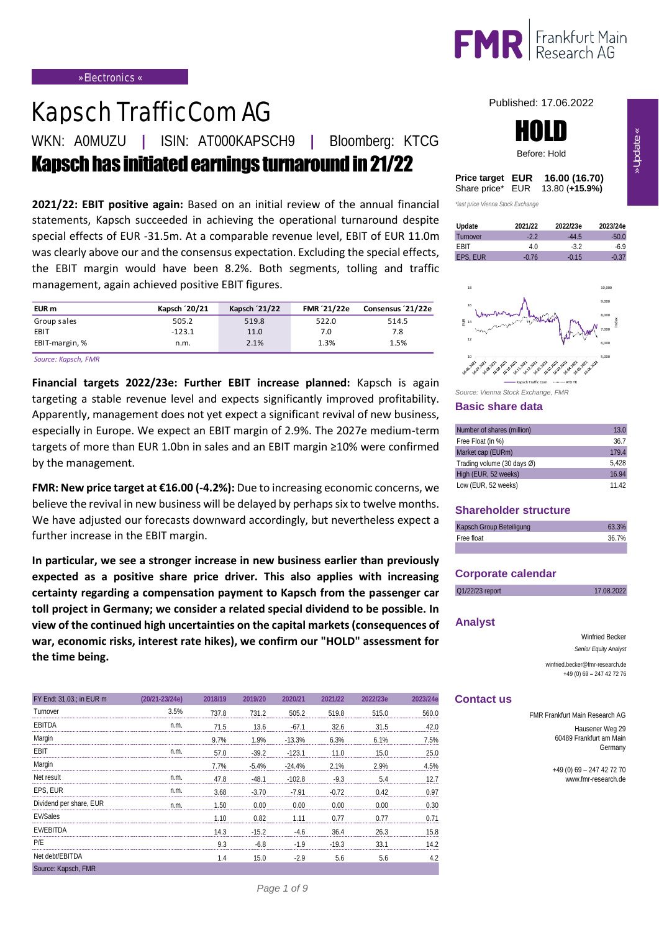

# Kapsch TrafficCom AG

WKN: A0MUZU **|** ISIN: AT000KAPSCH9 **|** Bloomberg: KTCG

AVKapsch has initiated earnings turnaround in 21/22

**2021/22: EBIT positive again:** Based on an initial review of the annual financial statements, Kapsch succeeded in achieving the operational turnaround despite special effects of EUR -31.5m. At a comparable revenue level, EBIT of EUR 11.0m was clearly above our and the consensus expectation. Excluding the special effects, the EBIT margin would have been 8.2%. Both segments, tolling and traffic management, again achieved positive EBIT figures.

|                | the LDH margin would have been 0.270. Doth segments, tolling and train- |               |             |                  |
|----------------|-------------------------------------------------------------------------|---------------|-------------|------------------|
|                | management, again achieved positive EBIT figures.                       |               |             |                  |
| EUR m          | Kapsch '20/21                                                           | Kapsch '21/22 | FMR '21/22e | Consensus 21/22e |
| Group sales    | 505.2                                                                   | 519.8         | 522.0       | 514.5            |
| EBIT           | $-123.1$                                                                | 11.0          | 7.0         | 7.8              |
| EBIT-margin, % | n.m.                                                                    | 2.1%          | 1.3%        | 1.5%             |

*Source: Kapsch, FMR*

**Financial targets 2022/23e: Further EBIT increase planned:** Kapsch is again targeting a stable revenue level and expects significantly improved profitability. Apparently, management does not yet expect a significant revival of new business, especially in Europe. We expect an EBIT margin of 2.9%. The 2027e medium-term targets of more than EUR 1.0bn in sales and an EBIT margin ≥10% were confirmed by the management.

**FMR: New price target at €16.00 (-4.2%):** Due to increasing economic concerns, we believe the revival in new business will be delayed by perhaps six to twelve months. We have adjusted our forecasts downward accordingly, but nevertheless expect a further increase in the EBIT margin.

**In particular, we see a stronger increase in new business earlier than previously expected as a positive share price driver. This also applies with increasing certainty regarding a compensation payment to Kapsch from the passenger car toll project in Germany; we consider a related special dividend to be possible. In view of the continued high uncertainties on the capital markets (consequences of war, economic risks, interest rate hikes), we confirm our "HOLD" assessment for the time being.**

| FY End: 31.03.; in EUR m | (20/21-23/24e) | 2018/19 | 2019/20 | 2020/21  | 2021/22 | 2022/23e | 2023/24e                             |
|--------------------------|----------------|---------|---------|----------|---------|----------|--------------------------------------|
| Turnover                 | 3.5%           | 737.8   | 731 2   | 505.2    | 519.8   | 5150     | 560 C<br>--------------------------- |
| FBITDA                   | n.m.           | 71.5    | 13.6    | $-67.1$  | 32.6    | 31.5     |                                      |
| Margin                   |                | 9.7%    | 1.9%    | $-13.3%$ | 6.3%    | 6.1%     | 75%                                  |
| FBIT                     | n.m.           | 57.0    | $-39.2$ | $-1231$  |         | 15 O     |                                      |
| Margin                   |                | 7.7%    | $-5.4%$ | $-24.4%$ | 2.1%    | 2.9%     |                                      |
| Net result               | n.m.           | 478     | $-481$  | $-102.8$ | $-9.3$  | 54       |                                      |
| EPS. EUR                 | n.m.           | 3.68    | $-3.70$ | $-7.91$  |         |          |                                      |
| Dividend per share, EUR  |                | 50      | n nn    |          |         |          | ) 30                                 |
| <b>FV/Sales</b>          |                | l 10    | 0.82    |          |         |          |                                      |
| <b>FV/FBITDA</b>         |                | 14.3    | $-15.2$ |          | 364     | 26.3     |                                      |
| P/F                      |                |         | $-6.8$  | $-1.9$   | $-19.3$ | 33.      | I 4<br>                              |
| Net debt/FBITDA          |                | Δ       | 15.0    | $-2.9$   | 5.6     | 5.6      |                                      |
| Source: Kapsch, FMR      |                |         |         |          |         |          |                                      |

Published: 17.06.2022



| Price target EUR | 16.00 (16.70)                   |
|------------------|---------------------------------|
|                  | Share price* EUR 13.80 (+15.9%) |

*\*last price Vienna Stock Exchange*





*Source: Vienna Stock Exchange, FMR* 

#### **Basic share data**

| Number of shares (million) | 13.0  |
|----------------------------|-------|
| Free Float (in %)          | 36.7  |
| Market cap (EURm)          | 179.4 |
| Trading volume (30 days Ø) | 5.428 |
| High (EUR, 52 weeks)       | 16.94 |
| Low (EUR, 52 weeks)        | 11 42 |

#### **Shareholder structure**

| Kapsch Group Beteiligung | 63.3% |
|--------------------------|-------|
| Free float               | 36.7% |
|                          |       |

#### **Corporate calendar**

| Q1/22/23 report   | 17.08.2022                                                   |
|-------------------|--------------------------------------------------------------|
|                   |                                                              |
| <b>Analyst</b>    |                                                              |
|                   | Winfried Becker                                              |
|                   | Senior Equity Analyst                                        |
|                   | winfried.becker@fmr-research.de<br>+49 (0) 69 - 247 42 72 76 |
| <b>Contact us</b> |                                                              |
|                   | FMR Frankfurt Main Research AG                               |
|                   | Hausener Weg 29<br>60489 Frankfurt am Main<br>Germany        |

 $+49(0)69 - 247427270$ www.fmr-research.de www.fmr-research.de

» Update «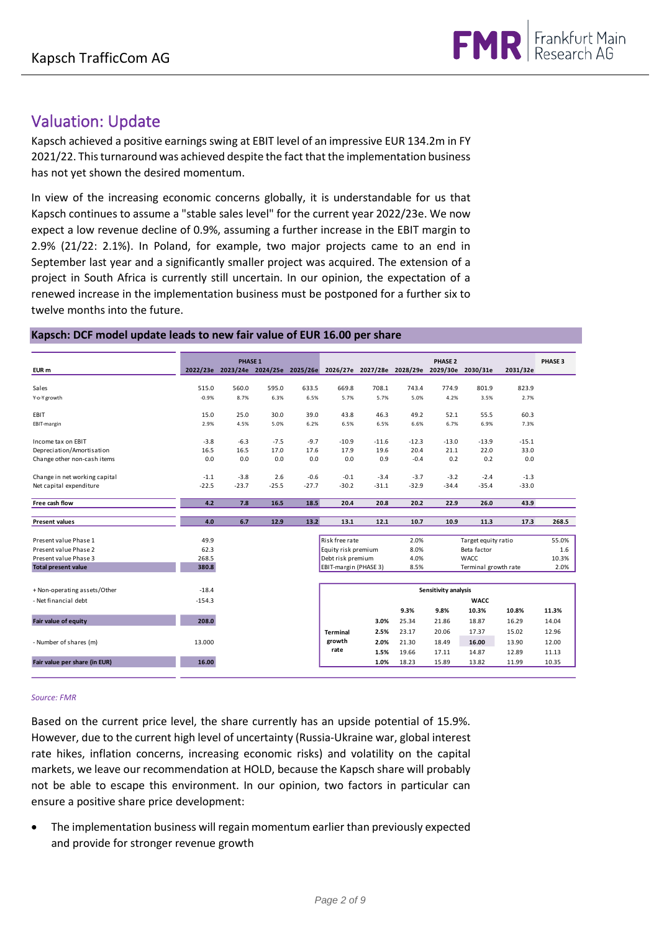

### Valuation: Update

Kapsch achieved a positive earnings swing at EBIT level of an impressive EUR 134.2m in FY 2021/22. This turnaround was achieved despite the fact that the implementation business has not yet shown the desired momentum.

In view of the increasing economic concerns globally, it is understandable for us that Kapsch continues to assume a "stable sales level" for the current year 2022/23e. We now expect a low revenue decline of 0.9%, assuming a further increase in the EBIT margin to 2.9% (21/22: 2.1%). In Poland, for example, two major projects came to an end in September last year and a significantly smaller project was acquired. The extension of a project in South Africa is currently still uncertain. In our opinion, the expectation of a renewed increase in the implementation business must be postponed for a further six to twelve months into the future.

#### **Kapsch: DCF model update leads to new fair value of EUR 16.00 per share**

| Kapsch: DCF model update leads to new fair value of EUR 16.00 per share |          |         |         |         |                                                                                  |         |         |                      |                      |          |                    |
|-------------------------------------------------------------------------|----------|---------|---------|---------|----------------------------------------------------------------------------------|---------|---------|----------------------|----------------------|----------|--------------------|
|                                                                         |          | PHASE 1 |         |         |                                                                                  |         |         | PHASE <sub>2</sub>   |                      |          | PHASE <sub>3</sub> |
| EUR <sub>m</sub>                                                        |          |         |         |         | 2022/23e 2023/24e 2024/25e 2025/26e 2026/27e 2027/28e 2028/29e 2029/30e 2030/31e |         |         |                      |                      | 2031/32e |                    |
| Sales                                                                   | 515.0    | 560.0   | 595.0   | 633.5   | 669.8                                                                            | 708.1   | 743.4   | 774.9                | 801.9                | 823.9    |                    |
| Y-o-Y growth                                                            | $-0.9%$  | 8.7%    | 6.3%    | 6.5%    | 5.7%                                                                             | 5.7%    | 5.0%    | 4.2%                 | 3.5%                 | 2.7%     |                    |
| EBIT                                                                    | 15.0     | 25.0    | 30.0    | 39.0    | 43.8                                                                             | 46.3    | 49.2    | 52.1                 | 55.5                 | 60.3     |                    |
| EBIT-margin                                                             | 2.9%     | 4.5%    | 5.0%    | 6.2%    | 6.5%                                                                             | 6.5%    | 6.6%    | 6.7%                 | 6.9%                 | 7.3%     |                    |
| Income tax on EBIT                                                      | $-3.8$   | $-6.3$  | $-7.5$  | $-9.7$  | $-10.9$                                                                          | $-11.6$ | $-12.3$ | $-13.0$              | $-13.9$              | $-15.1$  |                    |
| Depreciation/Amortisation                                               | 16.5     | 16.5    | 17.0    | 17.6    | 17.9                                                                             | 19.6    | 20.4    | 21.1                 | 22.0                 | 33.0     |                    |
| Change other non-cash items                                             | 0.0      | 0.0     | 0.0     | 0.0     | 0.0                                                                              | 0.9     | $-0.4$  | 0.2                  | 0.2                  | 0.0      |                    |
| Change in net working capital                                           | $-1.1$   | $-3.8$  | 2.6     | $-0.6$  | $-0.1$                                                                           | $-3.4$  | $-3.7$  | $-3.2$               | $-2.4$               | $-1.3$   |                    |
| Net capital expenditure                                                 | $-22.5$  | $-23.7$ | $-25.5$ | $-27.7$ | $-30.2$                                                                          | $-31.1$ | $-32.9$ | $-34.4$              | $-35.4$              | $-33.0$  |                    |
| Free cash flow                                                          | 4.2      | 7.8     | 16.5    | 18.5    | 20.4                                                                             | 20.8    | 20.2    | 22.9                 | 26.0                 | 43.9     |                    |
| <b>Present values</b>                                                   | 4.0      | 6.7     | 12.9    | 13.2    | 13.1                                                                             | 12.1    | 10.7    | 10.9                 | 11.3                 | 17.3     | 268.5              |
| Present value Phase 1                                                   | 49.9     |         |         |         | Risk free rate                                                                   |         | 2.0%    |                      | Target equity ratio  |          | 55.0%              |
| Present value Phase 2                                                   | 62.3     |         |         |         | Equity risk premium                                                              |         | 8.0%    |                      | Beta factor          |          | 1.6                |
| Present value Phase 3                                                   | 268.5    |         |         |         | Debt risk premium                                                                |         | 4.0%    |                      | WACC                 |          | 10.3%              |
| <b>Total present value</b>                                              | 380.8    |         |         |         | EBIT-margin (PHASE 3)                                                            |         | 8.5%    |                      | Terminal growth rate |          | 2.0%               |
| + Non-operating assets/Other                                            | $-18.4$  |         |         |         |                                                                                  |         |         | Sensitivity analysis |                      |          |                    |
| - Net financial debt                                                    | $-154.3$ |         |         |         | <b>WACC</b>                                                                      |         |         |                      |                      |          |                    |
|                                                                         |          |         |         |         |                                                                                  |         | 9.3%    | 9.8%                 | 10.3%                | 10.8%    | 11.3%              |
| Fair value of equity                                                    | 208.0    |         |         |         |                                                                                  | 3.0%    | 25.34   | 21.86                | 18.87                | 16.29    | 14.04              |
|                                                                         |          |         |         |         | <b>Terminal</b>                                                                  | 2.5%    | 23.17   | 20.06                | 17.37                | 15.02    | 12.96              |
| - Number of shares (m)                                                  | 13.000   |         |         |         | growth                                                                           | 2.0%    | 21.30   | 18.49                | 16.00                | 13.90    | 12.00              |
|                                                                         |          |         |         |         | rate                                                                             | 1.5%    | 19.66   | 17.11                | 14.87                | 12.89    | 11.13              |
| Fair value per share (in EUR)                                           | 16.00    |         |         |         |                                                                                  | 1.0%    | 18.23   | 15.89                | 13.82                | 11.99    | 10.35              |

#### *Source: FMR*

Based on the current price level, the share currently has an upside potential of 15.9%. However, due to the current high level of uncertainty (Russia-Ukraine war, global interest rate hikes, inflation concerns, increasing economic risks) and volatility on the capital markets, we leave our recommendation at HOLD, because the Kapsch share will probably not be able to escape this environment. In our opinion, two factors in particular can ensure a positive share price development:

• The implementation business will regain momentum earlier than previously expected and provide for stronger revenue growth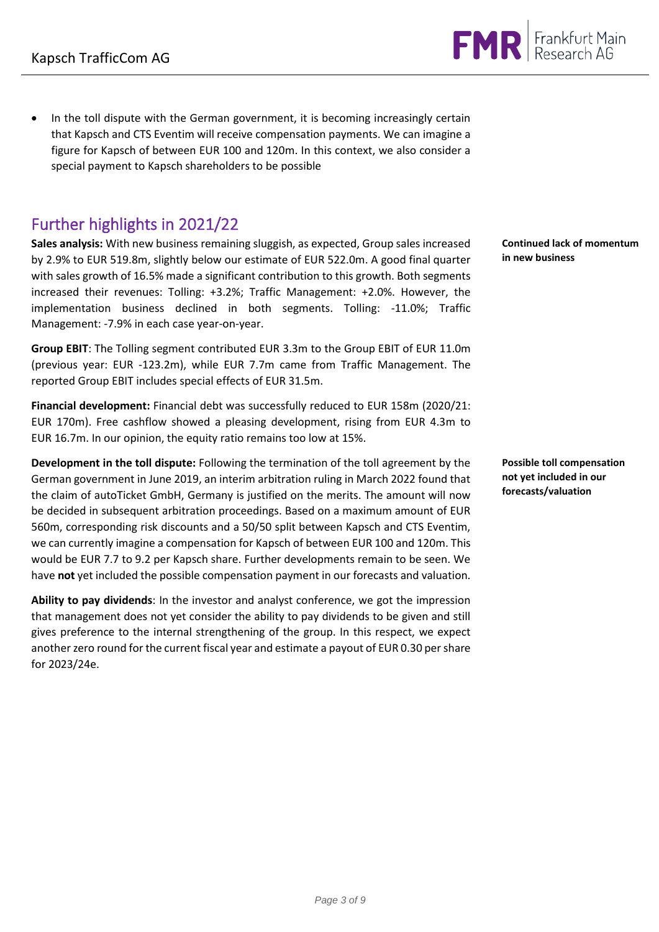• In the toll dispute with the German government, it is becoming increasingly certain that Kapsch and CTS Eventim will receive compensation payments. We can imagine a figure for Kapsch of between EUR 100 and 120m. In this context, we also consider a special payment to Kapsch shareholders to be possible

### Further highlights in 2021/22

**Sales analysis:** With new business remaining sluggish, as expected, Group sales increased by 2.9% to EUR 519.8m, slightly below our estimate of EUR 522.0m. A good final quarter with sales growth of 16.5% made a significant contribution to this growth. Both segments increased their revenues: Tolling: +3.2%; Traffic Management: +2.0%. However, the implementation business declined in both segments. Tolling: -11.0%; Traffic Management: -7.9% in each case year-on-year.

**Group EBIT**: The Tolling segment contributed EUR 3.3m to the Group EBIT of EUR 11.0m (previous year: EUR -123.2m), while EUR 7.7m came from Traffic Management. The reported Group EBIT includes special effects of EUR 31.5m.

**Financial development:** Financial debt was successfully reduced to EUR 158m (2020/21: EUR 170m). Free cashflow showed a pleasing development, rising from EUR 4.3m to EUR 16.7m. In our opinion, the equity ratio remains too low at 15%.

**Development in the toll dispute:** Following the termination of the toll agreement by the German government in June 2019, an interim arbitration ruling in March 2022 found that the claim of autoTicket GmbH, Germany is justified on the merits. The amount will now be decided in subsequent arbitration proceedings. Based on a maximum amount of EUR 560m, corresponding risk discounts and a 50/50 split between Kapsch and CTS Eventim, we can currently imagine a compensation for Kapsch of between EUR 100 and 120m. This would be EUR 7.7 to 9.2 per Kapsch share. Further developments remain to be seen. We have **not** yet included the possible compensation payment in our forecasts and valuation.

**Ability to pay dividends**: In the investor and analyst conference, we got the impression that management does not yet consider the ability to pay dividends to be given and still gives preference to the internal strengthening of the group. In this respect, we expect another zero round for the current fiscal year and estimate a payout of EUR 0.30 per share for 2023/24e.

**Continued lack of momentum in new business**

**Possible toll compensation not yet included in our forecasts/valuation**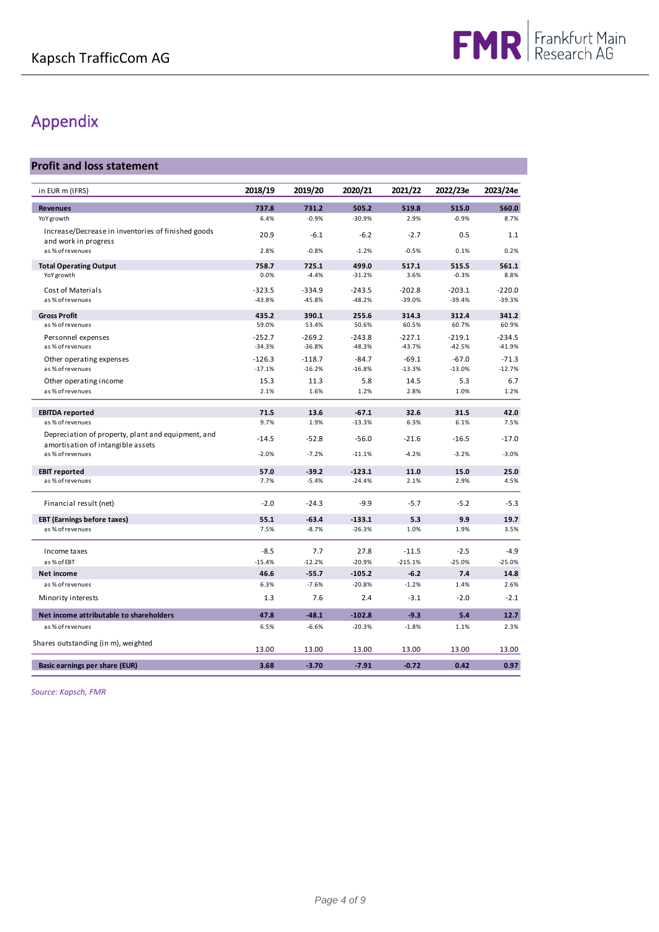## Appendix

#### **Profit and loss statement**

| in EUR m (IFRS)                                                                         | 2018/19          | 2019/20          | 2020/21             | 2021/22          | 2022/23e         | 2023/24e        |
|-----------------------------------------------------------------------------------------|------------------|------------------|---------------------|------------------|------------------|-----------------|
| <b>Revenues</b>                                                                         | 737.8            | 731.2            | 505.2               | 519.8            | 515.0            | 560.0           |
| YoY growth                                                                              | 6.4%             | $-0.9%$          | $-30.9%$            | 2.9%             | $-0.9%$          | 8.7%            |
| Increase/Decrease in inventories of finished goods                                      | 20.9             | $-6.1$           | $-6.2$              | $-2.7$           | 0.5              | 1.1             |
| and work in progress<br>as % of revenues                                                | 2.8%             | $-0.8%$          | $-1.2%$             | $-0.5%$          | 0.1%             | 0.2%            |
|                                                                                         |                  |                  |                     |                  |                  |                 |
| <b>Total Operating Output</b><br><b>YoY</b> growth                                      | 758.7<br>0.0%    | 725.1<br>$-4.4%$ | 499.0<br>$-31.2%$   | 517.1<br>3.6%    | 515.5<br>$-0.3%$ | 561.1<br>8.8%   |
| Cost of Materials                                                                       | -323.5           | $-334.9$         | $-243.5$            | $-202.8$         | $-203.1$         | $-220.0$        |
| as % of revenues                                                                        | $-43.8%$         | $-45.8%$         | $-48.2%$            | $-39.0%$         | $-39.4%$         | $-39.3%$        |
| <b>Gross Profit</b>                                                                     | 435.2            | 390.1            | 255.6               | 314.3            | 312.4            | 341.2           |
| as % of revenues                                                                        | 59.0%            | 53.4%            | 50.6%               | 60.5%            | 60.7%            | 60.9%           |
| Personnel expenses                                                                      | $-252.7$         | $-269.2$         | $-243.8$            | $-227.1$         | $-219.1$         | $-234.5$        |
| as % of revenues                                                                        | $-34.3%$         | $-36.8%$         | $-48.3%$            | $-43.7%$         | $-42.5%$         | $-41.9%$        |
| Other operating expenses<br>as % of revenues                                            | $-126.3$         | $-118.7$         | $-84.7$<br>$-16.8%$ | $-69.1$          | $-67.0$          | $-71.3$         |
| Other operating income                                                                  | $-17.1%$<br>15.3 | $-16.2%$<br>11.3 | 5.8                 | $-13.3%$<br>14.5 | $-13.0%$<br>5.3  | $-12.7%$<br>6.7 |
| as % of revenues                                                                        | 2.1%             | 1.6%             | 1.2%                | 2.8%             | 1.0%             | 1.2%            |
|                                                                                         |                  |                  |                     |                  |                  |                 |
| <b>EBITDA reported</b>                                                                  | 71.5             | 13.6             | $-67.1$             | 32.6             | 31.5             | 42.0            |
| as % of revenues                                                                        | 9.7%             | 1.9%             | $-13.3%$            | 6.3%             | 6.1%             | 7.5%            |
| Depreciation of property, plant and equipment, and<br>amortisation of intangible assets | $-14.5$          | $-52.8$          | $-56.0$             | $-21.6$          | $-16.5$          | $-17.0$         |
| as % of revenues                                                                        | $-2.0%$          | $-7.2%$          | $-11.1%$            | $-4.2%$          | $-3.2%$          | $-3.0%$         |
| <b>EBIT reported</b>                                                                    | 57.0             | $-39.2$          | $-123.1$            | 11.0             | 15.0             | 25.0            |
| as % of revenues                                                                        | 7.7%             | $-5.4%$          | $-24.4%$            | 2.1%             | 2.9%             | 4.5%            |
| Financial result (net)                                                                  | $-2.0$           | $-24.3$          | $-9.9$              | $-5.7$           | $-5.2$           | $-5.3$          |
| <b>EBT (Earnings before taxes)</b>                                                      | 55.1             | $-63.4$          | $-133.1$            | 5.3              | 9.9              | 19.7            |
| as % of revenues                                                                        | 7.5%             | $-8.7%$          | $-26.3%$            | 1.0%             | 1.9%             | 3.5%            |
| Income taxes                                                                            | $-8.5$           | 7.7              | 27.8                | $-11.5$          | $-2.5$           | $-4.9$          |
| as % of EBT                                                                             | $-15.4%$         | $-12.2%$         | $-20.9%$            | $-215.1%$        | $-25.0%$         | $-25.0%$        |
| <b>Net income</b>                                                                       | 46.6             | $-55.7$          | $-105.2$            | $-6.2$           | 7.4              | 14.8            |
| as % of revenues                                                                        | 6.3%             | $-7.6%$          | $-20.8%$            | $-1.2%$          | 1.4%             | 2.6%            |
| Minority interests                                                                      | 1.3              | 7.6              | 2.4                 | $-3.1$           | $-2.0$           | $-2.1$          |
| Net income attributable to shareholders                                                 | 47.8             | $-48.1$          | $-102.8$            | $-9.3$           | 5.4              | 12.7            |
| as % of revenues                                                                        | 6.5%             | $-6.6%$          | $-20.3%$            | $-1.8%$          | 1.1%             | 2.3%            |
| Shares outstanding (in m), weighted                                                     | 13.00            | 13.00            | 13.00               | 13.00            | 13.00            | 13.00           |
| Basic earnings per share (EUR)                                                          | 3.68             | $-3.70$          | $-7.91$             | $-0.72$          | 0.42             | 0.97            |
|                                                                                         |                  |                  |                     |                  |                  |                 |

*Source: Kapsch, FMR*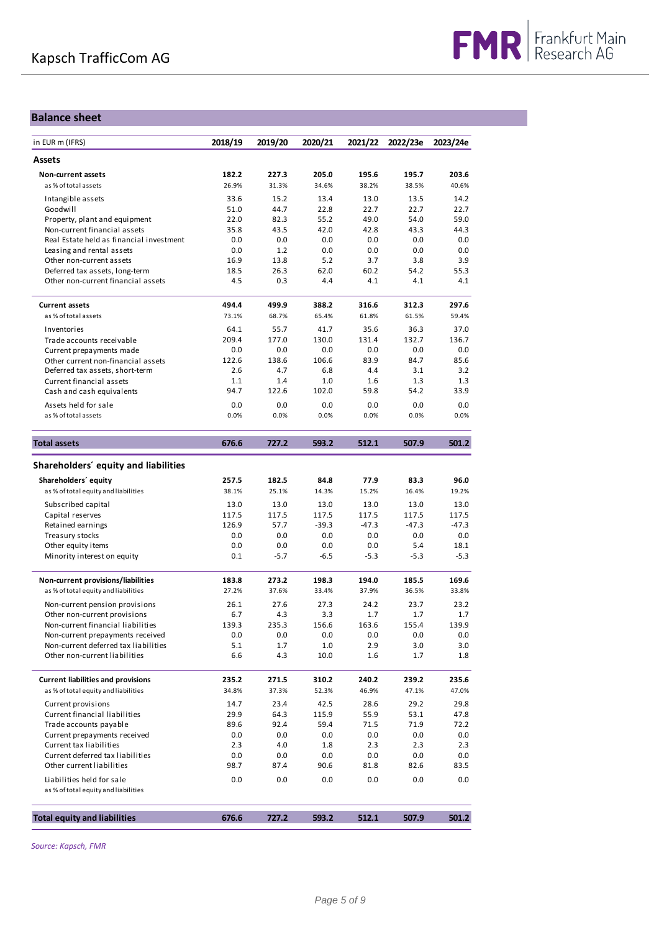### **Balance sheet**

| in EUR m (IFRS)                                                            | 2018/19        | 2019/20 | 2020/21        | 2021/22        | 2022/23e      | 2023/24e       |
|----------------------------------------------------------------------------|----------------|---------|----------------|----------------|---------------|----------------|
| Assets                                                                     |                |         |                |                |               |                |
| <b>Non-current assets</b>                                                  | 182.2          | 227.3   | 205.0          | 195.6          | 195.7         | 203.6          |
| as % of total assets                                                       | 26.9%          | 31.3%   | 34.6%          | 38.2%          | 38.5%         | 40.6%          |
| Intangible assets                                                          | 33.6           | 15.2    | 13.4           | 13.0           | 13.5          | 14.2           |
| Goodwill                                                                   | 51.0           | 44.7    | 22.8           | 22.7           | 22.7          | 22.7           |
| Property, plant and equipment                                              | 22.0           | 82.3    | 55.2           | 49.0           | 54.0          | 59.0           |
| Non-current financial assets                                               | 35.8           | 43.5    | 42.0           | 42.8           | 43.3          | 44.3           |
| Real Estate held as financial investment                                   | 0.0            | 0.0     | 0.0            | 0.0            | 0.0           | 0.0            |
| Leasing and rental assets                                                  | 0.0            | 1.2     | 0.0            | 0.0            | 0.0           | 0.0            |
| Other non-current assets                                                   | 16.9           | 13.8    | 5.2            | 3.7            | 3.8           | 3.9            |
| Deferred tax assets, long-term                                             | 18.5           | 26.3    | 62.0           | 60.2           | 54.2          | 55.3           |
| Other non-current financial assets                                         | 4.5            | 0.3     | 4.4            | 4.1            | 4.1           | 4.1            |
| <b>Current assets</b>                                                      | 494.4          | 499.9   | 388.2          | 316.6          | 312.3         | 297.6          |
| as % of total assets                                                       | 73.1%          | 68.7%   | 65.4%          | 61.8%          | 61.5%         | 59.4%          |
|                                                                            | 64.1           | 55.7    |                | 35.6           |               |                |
| Inventories                                                                | 209.4          | 177.0   | 41.7           | 131.4          | 36.3<br>132.7 | 37.0<br>136.7  |
| Trade accounts receivable                                                  | 0.0            | 0.0     | 130.0<br>0.0   | 0.0            | 0.0           | 0.0            |
| Current prepayments made<br>Other current non-financial assets             | 122.6          | 138.6   | 106.6          | 83.9           | 84.7          | 85.6           |
| Deferred tax assets, short-term                                            | 2.6            | 4.7     | 6.8            | 4.4            | 3.1           | 3.2            |
| Current financial assets                                                   | 1.1            | 1.4     | 1.0            | 1.6            | 1.3           | 1.3            |
| Cash and cash equivalents                                                  | 94.7           | 122.6   | 102.0          | 59.8           | 54.2          | 33.9           |
| Assets held for sale                                                       |                | 0.0     | 0.0            | 0.0            | 0.0           | 0.0            |
| as % of total assets                                                       | 0.0<br>0.0%    | 0.0%    | 0.0%           | 0.0%           | 0.0%          | 0.0%           |
|                                                                            |                |         |                |                |               |                |
| <b>Total assets</b>                                                        | 676.6          | 727.2   | 593.2          | 512.1          | 507.9         | 501.2          |
| Shareholders' equity and liabilities                                       |                |         |                |                |               |                |
| Shareholders' equity                                                       | 257.5          | 182.5   | 84.8           | 77.9           | 83.3          | 96.0           |
| as % of total equity and liabilities                                       | 38.1%          | 25.1%   | 14.3%          | 15.2%          | 16.4%         | 19.2%          |
| Subscribed capital                                                         | 13.0           | 13.0    | 13.0           | 13.0           | 13.0          | 13.0           |
| Capital reserves                                                           | 117.5          | 117.5   | 117.5          | 117.5          | 117.5         | 117.5          |
| Retained earnings                                                          | 126.9          | 57.7    | $-39.3$        | $-47.3$        | $-47.3$       | $-47.3$        |
| Treasury stocks                                                            | 0.0            | 0.0     | 0.0            | 0.0            | 0.0           | 0.0            |
| Other equity items                                                         | 0.0            | 0.0     | 0.0            | 0.0            | 5.4           | 18.1           |
| Minority interest on equity                                                | 0.1            | $-5.7$  | $-6.5$         | $-5.3$         | $-5.3$        | $-5.3$         |
|                                                                            |                | 273.2   |                |                | 185.5         |                |
| Non-current provisions/liabilities<br>as % of total equity and liabilities | 183.8<br>27.2% | 37.6%   | 198.3<br>33.4% | 194.0<br>37.9% | 36.5%         | 169.6<br>33.8% |
|                                                                            |                |         |                |                |               |                |
| Non-current pension provisions                                             | 26.1           | 27.6    | 27.3           | 24.2           | 23.7          | 23.2           |
| Other non-current provisions                                               | 6.7            | 4.3     | 3.3            | 1.7            | 1.7           | 1.7            |
| Non-current financial liabilities                                          | 139.3          | 235.3   | 156.6          | 163.6          | 155.4         | 139.9          |
| Non-current prepayments received                                           | 0.0            | 0.0     | 0.0            | 0.0            | 0.0           | 0.0            |
| Non-current deferred tax liabilities                                       | 5.1            | 1.7     | 1.0            | 2.9            | 3.0           | 3.0            |
| Other non-current liabilities                                              | 6.6            | 4.3     | 10.0           | 1.6            | 1.7           | 1.8            |
| <b>Current liabilities and provisions</b>                                  | 235.2          | 271.5   | 310.2          | 240.2          | 239.2         | 235.6          |
| as % of total equity and liabilities                                       | 34.8%          | 37.3%   | 52.3%          | 46.9%          | 47.1%         | 47.0%          |
| Current provisions                                                         | 14.7           | 23.4    | 42.5           | 28.6           | 29.2          | 29.8           |
| Current financial liabilities                                              | 29.9           | 64.3    | 115.9          | 55.9           | 53.1          | 47.8           |
| Trade accounts payable                                                     | 89.6           | 92.4    | 59.4           | 71.5           | 71.9          | 72.2           |
| Current prepayments received                                               | 0.0            | 0.0     | 0.0            | 0.0            | 0.0           | 0.0            |
| Current tax liabilities                                                    | 2.3            | 4.0     | 1.8            | 2.3            | 2.3           | 2.3            |
| Current deferred tax liabilities                                           | 0.0            | 0.0     | 0.0            | 0.0            | 0.0           | 0.0            |
| Other current liabilities                                                  | 98.7           | 87.4    | 90.6           | 81.8           | 82.6          | 83.5           |
| Liabilities held for sale                                                  | 0.0            | 0.0     | 0.0            | 0.0            | 0.0           | 0.0            |
| as % of total equity and liabilities                                       |                |         |                |                |               |                |
| <b>Total equity and liabilities</b>                                        | 676.6          | 727.2   | 593.2          | 512.1          | 507.9         | 501.2          |
|                                                                            |                |         |                |                |               |                |

*Source: Kapsch, FMR*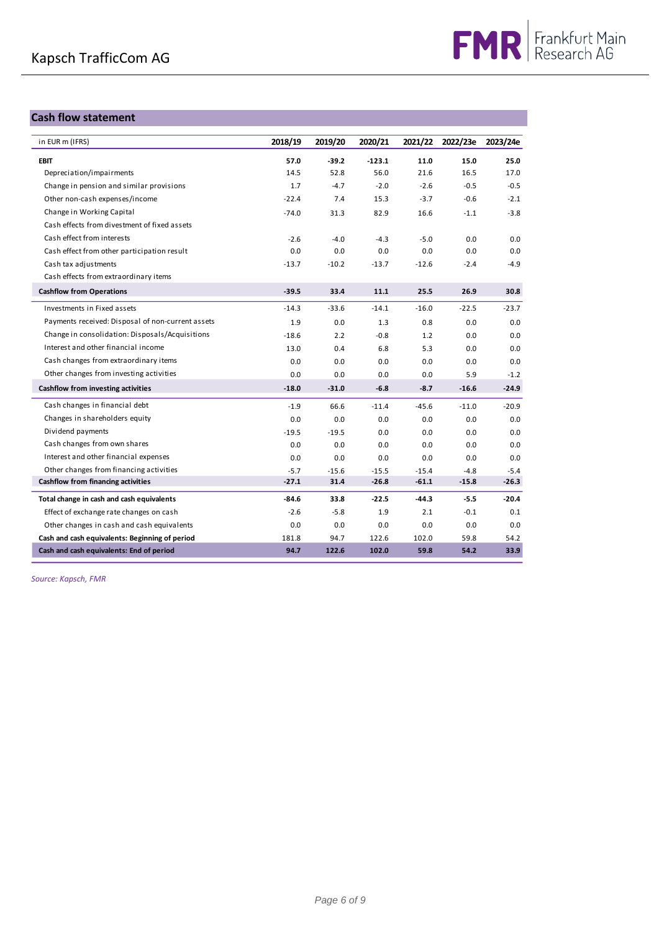#### **Cash flow statement**

| <b>Cash flow statement</b>                        |         |         |          |         |          |          |
|---------------------------------------------------|---------|---------|----------|---------|----------|----------|
| in EUR m (IFRS)                                   | 2018/19 | 2019/20 | 2020/21  | 2021/22 | 2022/23e | 2023/24e |
| <b>EBIT</b>                                       | 57.0    | $-39.2$ | $-123.1$ | 11.0    | 15.0     | 25.0     |
| Depreciation/impairments                          | 14.5    | 52.8    | 56.0     | 21.6    | 16.5     | 17.0     |
| Change in pension and similar provisions          | 1.7     | $-4.7$  | $-2.0$   | $-2.6$  | $-0.5$   | $-0.5$   |
| Other non-cash expenses/income                    | $-22.4$ | 7.4     | 15.3     | $-3.7$  | $-0.6$   | $-2.1$   |
| Change in Working Capital                         | $-74.0$ | 31.3    | 82.9     | 16.6    | $-1.1$   | $-3.8$   |
| Cash effects from divestment of fixed assets      |         |         |          |         |          |          |
| Cash effect from interests                        | $-2.6$  | $-4.0$  | $-4.3$   | $-5.0$  | 0.0      | 0.0      |
| Cash effect from other participation result       | 0.0     | 0.0     | 0.0      | 0.0     | 0.0      | 0.0      |
| Cash tax adjustments                              | $-13.7$ | $-10.2$ | $-13.7$  | $-12.6$ | $-2.4$   | $-4.9$   |
| Cash effects from extraordinary items             |         |         |          |         |          |          |
| <b>Cashflow from Operations</b>                   | $-39.5$ | 33.4    | 11.1     | 25.5    | 26.9     | 30.8     |
| Investments in Fixed assets                       | $-14.3$ | $-33.6$ | $-14.1$  | $-16.0$ | $-22.5$  | $-23.7$  |
| Payments received: Disposal of non-current assets | 1.9     | 0.0     | 1.3      | 0.8     | 0.0      | 0.0      |
| Change in consolidation: Disposals/Acquisitions   | $-18.6$ | 2.2     | $-0.8$   | 1.2     | 0.0      | 0.0      |
| Interest and other financial income               | 13.0    | 0.4     | 6.8      | 5.3     | 0.0      | 0.0      |
| Cash changes from extraordinary items             | 0.0     | 0.0     | 0.0      | 0.0     | 0.0      | 0.0      |
| Other changes from investing activities           | 0.0     | 0.0     | 0.0      | 0.0     | 5.9      | $-1.2$   |
| Cashflow from investing activities                | $-18.0$ | $-31.0$ | $-6.8$   | $-8.7$  | $-16.6$  | $-24.9$  |
| Cash changes in financial debt                    | $-1.9$  | 66.6    | $-11.4$  | $-45.6$ | $-11.0$  | $-20.9$  |
| Changes in shareholders equity                    | 0.0     | 0.0     | 0.0      | 0.0     | 0.0      | 0.0      |
| Dividend payments                                 | $-19.5$ | $-19.5$ | 0.0      | 0.0     | 0.0      | 0.0      |
| Cash changes from own shares                      | 0.0     | 0.0     | 0.0      | 0.0     | 0.0      | 0.0      |
| Interest and other financial expenses             | 0.0     | 0.0     | 0.0      | 0.0     | 0.0      | 0.0      |
| Other changes from financing activities           | $-5.7$  | $-15.6$ | $-15.5$  | $-15.4$ | $-4.8$   | $-5.4$   |
| Cashflow from financing activities                | $-27.1$ | 31.4    | $-26.8$  | $-61.1$ | $-15.8$  | $-26.3$  |
| Total change in cash and cash equivalents         | $-84.6$ | 33.8    | $-22.5$  | $-44.3$ | $-5.5$   | $-20.4$  |
| Effect of exchange rate changes on cash           | $-2.6$  | $-5.8$  | 1.9      | 2.1     | $-0.1$   | 0.1      |
| Other changes in cash and cash equivalents        | 0.0     | 0.0     | 0.0      | 0.0     | 0.0      | 0.0      |
| Cash and cash equivalents: Beginning of period    | 181.8   | 94.7    | 122.6    | 102.0   | 59.8     | 54.2     |
| Cash and cash equivalents: End of period          | 94.7    | 122.6   | 102.0    | 59.8    | 54.2     | 33.9     |

*Source: Kapsch, FMR*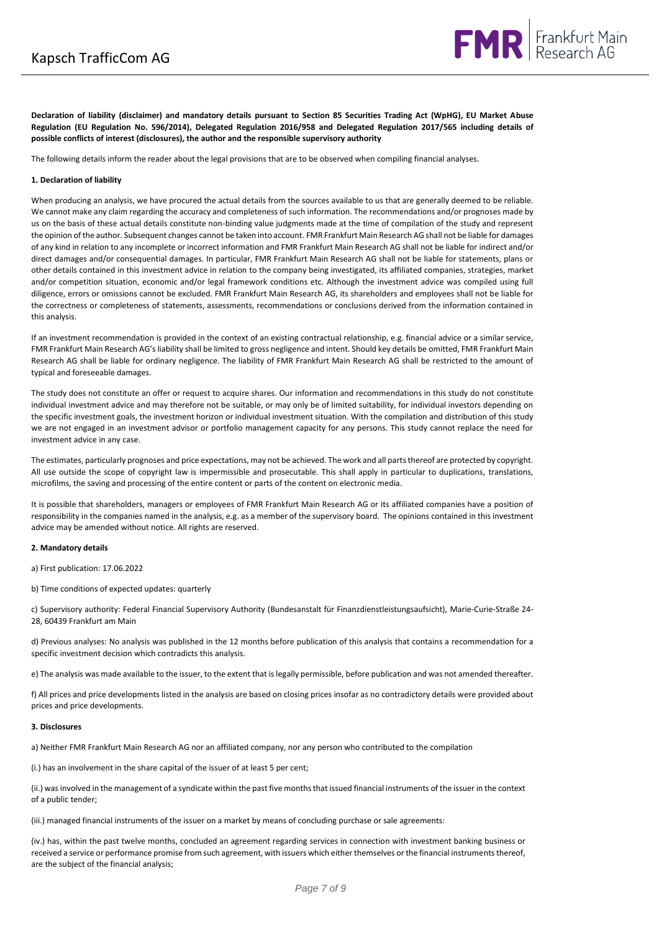**Declaration of liability (disclaimer) and mandatory details pursuant to Section 85 Securities Trading Act (WpHG), EU Market Abuse Regulation (EU Regulation No. 596/2014), Delegated Regulation 2016/958 and Delegated Regulation 2017/565 including details of possible conflicts of interest (disclosures), the author and the responsible supervisory authority**

The following details inform the reader about the legal provisions that are to be observed when compiling financial analyses.

#### **1. Declaration of liability**

When producing an analysis, we have procured the actual details from the sources available to us that are generally deemed to be reliable. We cannot make any claim regarding the accuracy and completeness of such information. The recommendations and/or prognoses made by us on the basis of these actual details constitute non-binding value judgments made at the time of compilation of the study and represent the opinion of the author. Subsequent changes cannot be taken into account. FMR Frankfurt Main Research AG shall not be liable for damages of any kind in relation to any incomplete or incorrect information and FMR Frankfurt Main Research AG shall not be liable for indirect and/or direct damages and/or consequential damages. In particular, FMR Frankfurt Main Research AG shall not be liable for statements, plans or other details contained in this investment advice in relation to the company being investigated, its affiliated companies, strategies, market and/or competition situation, economic and/or legal framework conditions etc. Although the investment advice was compiled using full diligence, errors or omissions cannot be excluded. FMR Frankfurt Main Research AG, its shareholders and employees shall not be liable for the correctness or completeness of statements, assessments, recommendations or conclusions derived from the information contained in this analysis.

If an investment recommendation is provided in the context of an existing contractual relationship, e.g. financial advice or a similar service, FMR Frankfurt Main Research AG's liability shall be limited to gross negligence and intent. Should key details be omitted, FMR Frankfurt Main Research AG shall be liable for ordinary negligence. The liability of FMR Frankfurt Main Research AG shall be restricted to the amount of typical and foreseeable damages.

The study does not constitute an offer or request to acquire shares. Our information and recommendations in this study do not constitute individual investment advice and may therefore not be suitable, or may only be of limited suitability, for individual investors depending on the specific investment goals, the investment horizon or individual investment situation. With the compilation and distribution of this study we are not engaged in an investment advisor or portfolio management capacity for any persons. This study cannot replace the need for investment advice in any case.

The estimates, particularly prognoses and price expectations, may not be achieved. The work and all parts thereof are protected by copyright. All use outside the scope of copyright law is impermissible and prosecutable. This shall apply in particular to duplications, translations, microfilms, the saving and processing of the entire content or parts of the content on electronic media.

It is possible that shareholders, managers or employees of FMR Frankfurt Main Research AG or its affiliated companies have a position of responsibility in the companies named in the analysis, e.g. as a member of the supervisory board. The opinions contained in this investment advice may be amended without notice. All rights are reserved.

#### **2. Mandatory details**

a) First publication: 17.06.2022

b) Time conditions of expected updates: quarterly

c) Supervisory authority: Federal Financial Supervisory Authority (Bundesanstalt für Finanzdienstleistungsaufsicht), Marie-Curie-Straße 24- 28, 60439 Frankfurt am Main

d) Previous analyses: No analysis was published in the 12 months before publication of this analysis that contains a recommendation for a specific investment decision which contradicts this analysis.

e) The analysis was made available to the issuer, to the extent that is legally permissible, before publication and was not amended thereafter.

f) All prices and price developments listed in the analysis are based on closing prices insofar as no contradictory details were provided about prices and price developments.

#### **3. Disclosures**

a) Neither FMR Frankfurt Main Research AG nor an affiliated company, nor any person who contributed to the compilation

(i.) has an involvement in the share capital of the issuer of at least 5 per cent;

(ii.) was involved in the management of a syndicate within the past five months that issued financial instruments of the issuer in the context of a public tender;

(iii.) managed financial instruments of the issuer on a market by means of concluding purchase or sale agreements:

(iv.) has, within the past twelve months, concluded an agreement regarding services in connection with investment banking business or received a service or performance promise from such agreement, with issuers which either themselves or the financial instruments thereof, are the subject of the financial analysis;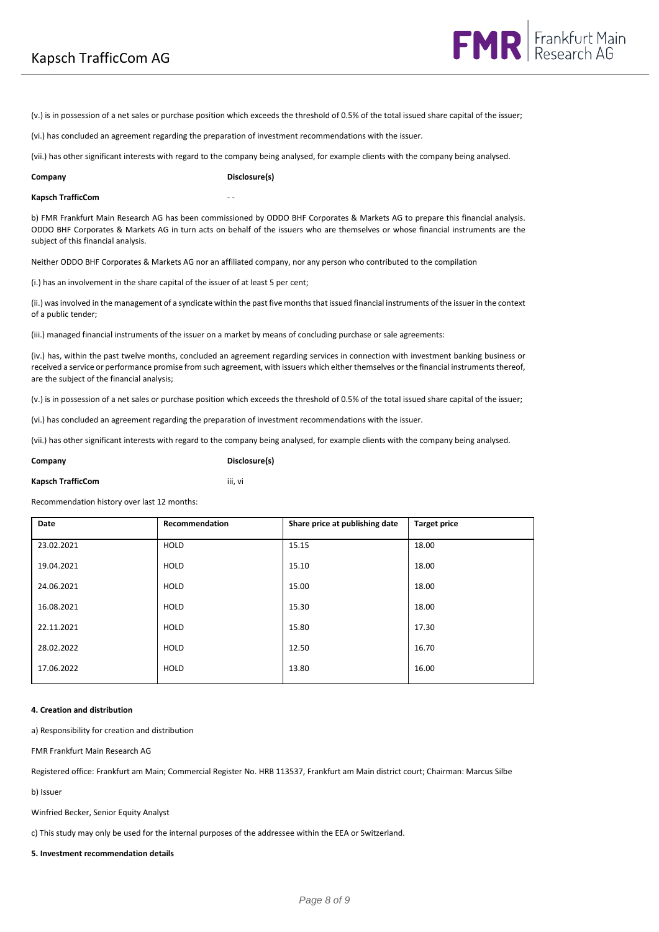(v.) is in possession of a net sales or purchase position which exceeds the threshold of 0.5% of the total issued share capital of the issuer;

(vi.) has concluded an agreement regarding the preparation of investment recommendations with the issuer.

(vii.) has other significant interests with regard to the company being analysed, for example clients with the company being analysed.

| Company |
|---------|
|---------|

**Company Disclosure(s)**

#### **Kapsch TrafficCom**

b) FMR Frankfurt Main Research AG has been commissioned by ODDO BHF Corporates & Markets AG to prepare this financial analysis. ODDO BHF Corporates & Markets AG in turn acts on behalf of the issuers who are themselves or whose financial instruments are the subject of this financial analysis.

Neither ODDO BHF Corporates & Markets AG nor an affiliated company, nor any person who contributed to the compilation

(i.) has an involvement in the share capital of the issuer of at least 5 per cent;

(ii.) was involved in the management of a syndicate within the past five months that issued financial instruments of the issuer in the context of a public tender;

(iii.) managed financial instruments of the issuer on a market by means of concluding purchase or sale agreements:

(iv.) has, within the past twelve months, concluded an agreement regarding services in connection with investment banking business or received a service or performance promise from such agreement, with issuers which either themselves or the financial instruments thereof, are the subject of the financial analysis;

(v.) is in possession of a net sales or purchase position which exceeds the threshold of 0.5% of the total issued share capital of the issuer;

(vi.) has concluded an agreement regarding the preparation of investment recommendations with the issuer.

(vii.) has other significant interests with regard to the company being analysed, for example clients with the company being analysed.

**Company Disclosure(s)**

#### **Kapsch TrafficCom** iii, vi

Recommendation history over last 12 months:

| Date       | Recommendation | Share price at publishing date | <b>Target price</b> |
|------------|----------------|--------------------------------|---------------------|
| 23.02.2021 | <b>HOLD</b>    | 15.15                          | 18.00               |
| 19.04.2021 | <b>HOLD</b>    | 15.10                          | 18.00               |
| 24.06.2021 | <b>HOLD</b>    | 15.00                          | 18.00               |
| 16.08.2021 | <b>HOLD</b>    | 15.30                          | 18.00               |
| 22.11.2021 | <b>HOLD</b>    | 15.80                          | 17.30               |
| 28.02.2022 | <b>HOLD</b>    | 12.50                          | 16.70               |
| 17.06.2022 | HOLD           | 13.80                          | 16.00               |

#### **4. Creation and distribution**

a) Responsibility for creation and distribution

FMR Frankfurt Main Research AG

Registered office: Frankfurt am Main; Commercial Register No. HRB 113537, Frankfurt am Main district court; Chairman: Marcus Silbe

b) Issuer

Winfried Becker, Senior Equity Analyst

c) This study may only be used for the internal purposes of the addressee within the EEA or Switzerland.

**5. Investment recommendation details**